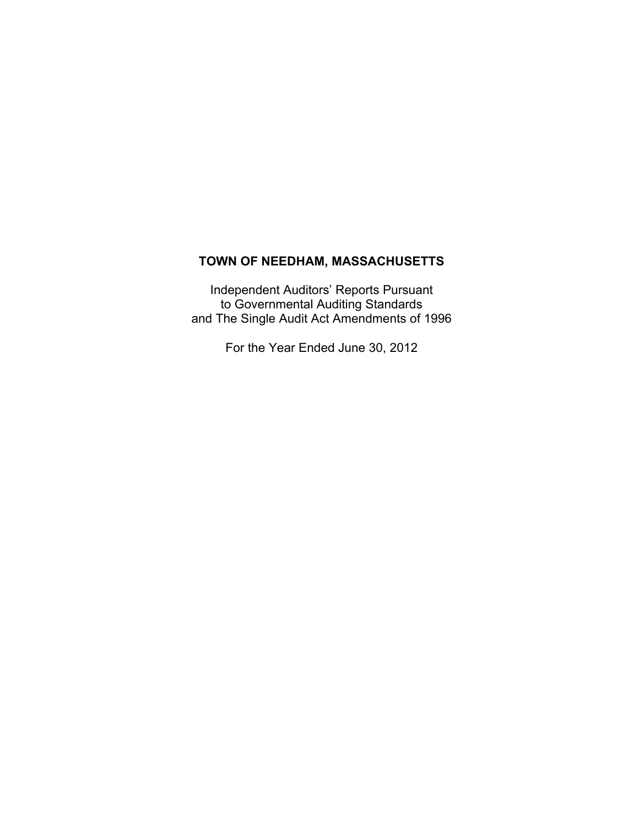# **TOWN OF NEEDHAM, MASSACHUSETTS**

Independent Auditors' Reports Pursuant to Governmental Auditing Standards and The Single Audit Act Amendments of 1996

For the Year Ended June 30, 2012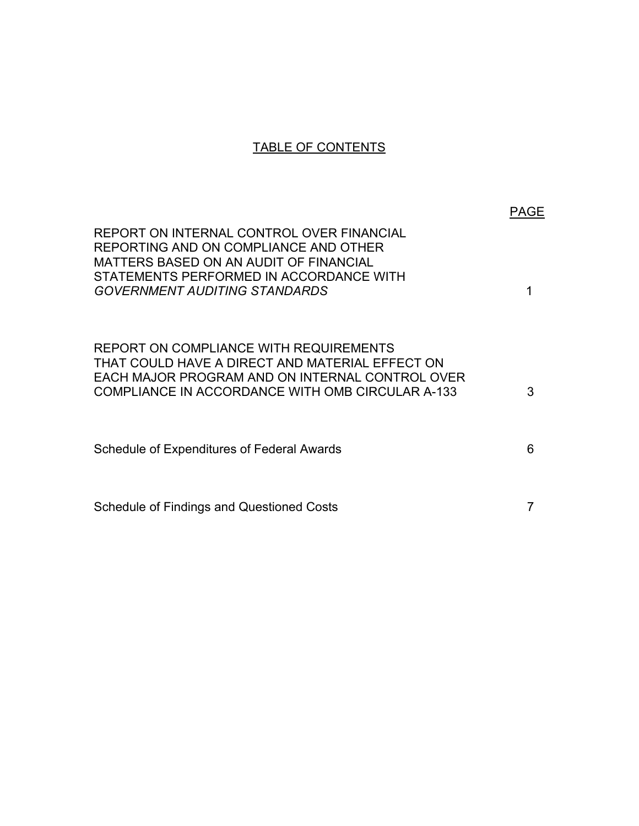# TABLE OF CONTENTS

|                                                                                                                                                                                                                 | PAGE |
|-----------------------------------------------------------------------------------------------------------------------------------------------------------------------------------------------------------------|------|
| REPORT ON INTERNAL CONTROL OVER FINANCIAL<br>REPORTING AND ON COMPLIANCE AND OTHER<br>MATTERS BASED ON AN AUDIT OF FINANCIAL<br>STATEMENTS PERFORMED IN ACCORDANCE WITH<br><b>GOVERNMENT AUDITING STANDARDS</b> |      |
| REPORT ON COMPLIANCE WITH REQUIREMENTS<br>THAT COULD HAVE A DIRECT AND MATERIAL EFFECT ON<br>EACH MAJOR PROGRAM AND ON INTERNAL CONTROL OVER<br>COMPLIANCE IN ACCORDANCE WITH OMB CIRCULAR A-133                | 3    |
| Schedule of Expenditures of Federal Awards                                                                                                                                                                      | 6    |
| Schedule of Findings and Questioned Costs                                                                                                                                                                       |      |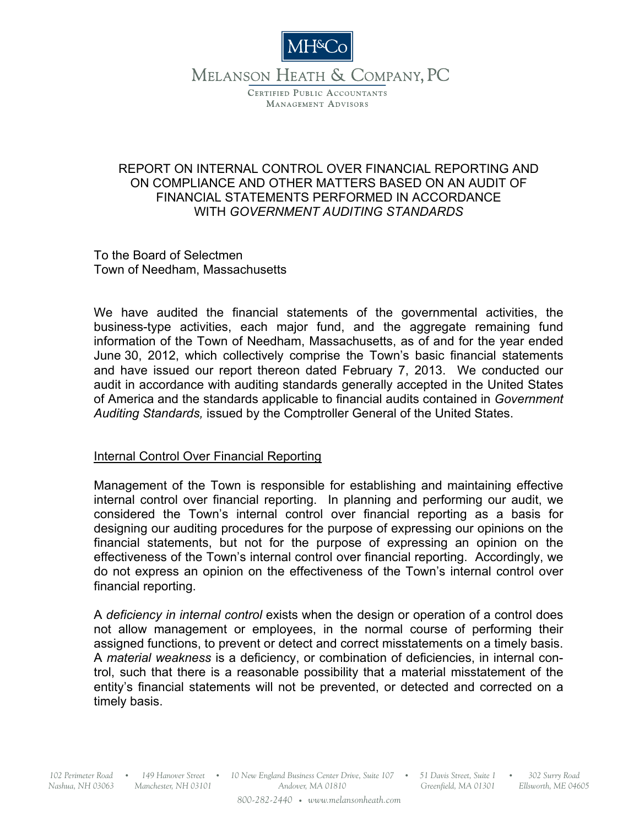

# MELANSON HEATH & COMPANY, PC

CERTIFIED PUBLIC ACCOUNTANTS **MANAGEMENT ADVISORS** 

## REPORT ON INTERNAL CONTROL OVER FINANCIAL REPORTING AND ON COMPLIANCE AND OTHER MATTERS BASED ON AN AUDIT OF FINANCIAL STATEMENTS PERFORMED IN ACCORDANCE WITH *GOVERNMENT AUDITING STANDARDS*

To the Board of Selectmen Town of Needham, Massachusetts

We have audited the financial statements of the governmental activities, the business-type activities, each major fund, and the aggregate remaining fund information of the Town of Needham, Massachusetts, as of and for the year ended June 30, 2012, which collectively comprise the Town's basic financial statements and have issued our report thereon dated February 7, 2013. We conducted our audit in accordance with auditing standards generally accepted in the United States of America and the standards applicable to financial audits contained in *Government Auditing Standards,* issued by the Comptroller General of the United States.

## Internal Control Over Financial Reporting

Management of the Town is responsible for establishing and maintaining effective internal control over financial reporting. In planning and performing our audit, we considered the Town's internal control over financial reporting as a basis for designing our auditing procedures for the purpose of expressing our opinions on the financial statements, but not for the purpose of expressing an opinion on the effectiveness of the Town's internal control over financial reporting. Accordingly, we do not express an opinion on the effectiveness of the Town's internal control over financial reporting.

A *deficiency in internal control* exists when the design or operation of a control does not allow management or employees, in the normal course of performing their assigned functions, to prevent or detect and correct misstatements on a timely basis. A *material weakness* is a deficiency, or combination of deficiencies, in internal control, such that there is a reasonable possibility that a material misstatement of the entity's financial statements will not be prevented, or detected and corrected on a timely basis.

*Nashua, NH 03063 Manchester, NH 03101*

*10 New England Business Center Drive, Suite 107 102 Perimeter Road 149 Hanover Street 51 Davis Street, Suite 1 302 Surry Road* O O O O *Andover, MA 01810 800-282-2440* O *www.melansonheath.com*

*Greenfield, MA 01301*

*Ellsworth, ME 04605*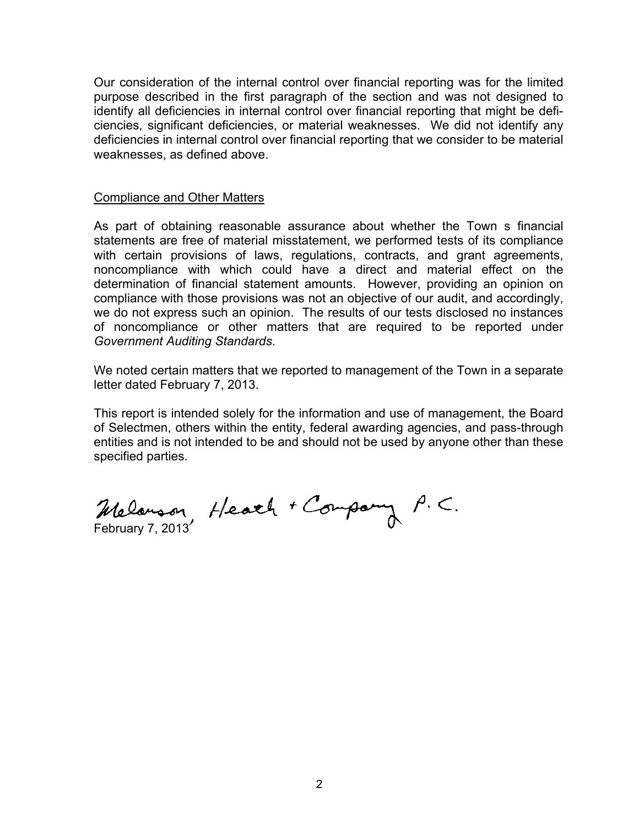Our consideration of the internal control over financial reporting was for the limited purpose described in the first paragraph of the section and was not designed to identify all deficiencies in internal control over financial reporting that might be deficiencies, significant deficiencies, or material weaknesses. We did not identify any deficiencies in internal control over financial reporting that we consider to be material weaknesses, as defined above.

#### Compliance and Other Matters

As part of obtaining reasonable assurance about whether the Town s financial statements are free of material misstatement, we performed tests of its compliance with certain provisions of laws, regulations, contracts, and grant agreements, noncompliance with which could have a direct and material effect on the determination of financial statement amounts. However, providing an opinion on compliance with those provisions was not an objective of our audit, and accordingly, we do not express such an opinion. The results of our tests disclosed no instances of noncompliance or other matters that are required to be reported under *Government Auditing Standards*.

We noted certain matters that we reported to management of the Town in a separate letter dated February 7, 2013.

This report is intended solely for the information and use of management, the Board of Selectmen, others within the entity, federal awarding agencies, and pass-through entities and is not intended to be and should not be used by anyone other than these specified parties.

Melanson, Heath + Company P.C.<br>February 7, 2013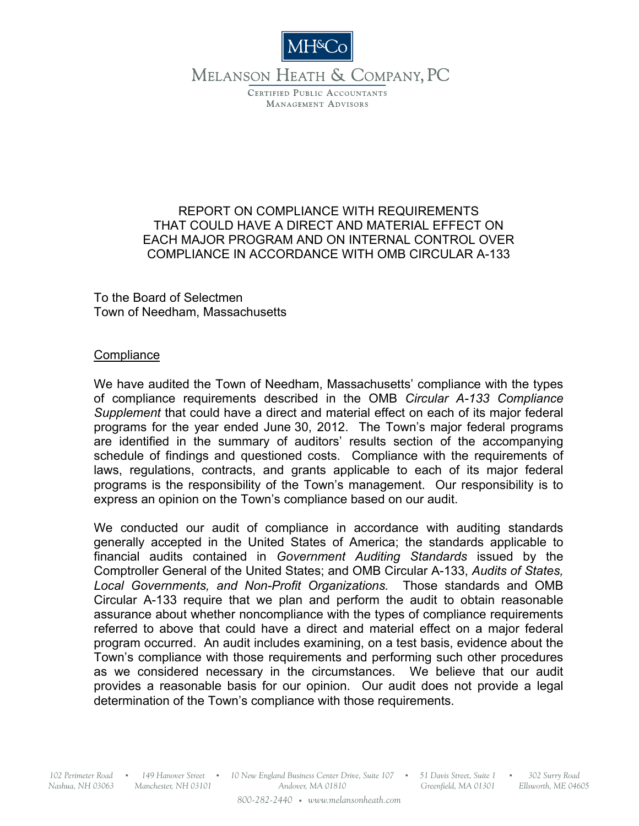

MELANSON HEATH & COMPANY, PC

CERTIFIED PUBLIC ACCOUNTANTS **MANAGEMENT ADVISORS** 

## REPORT ON COMPLIANCE WITH REQUIREMENTS THAT COULD HAVE A DIRECT AND MATERIAL EFFECT ON EACH MAJOR PROGRAM AND ON INTERNAL CONTROL OVER COMPLIANCE IN ACCORDANCE WITH OMB CIRCULAR A-133

To the Board of Selectmen Town of Needham, Massachusetts

## **Compliance**

We have audited the Town of Needham, Massachusetts' compliance with the types of compliance requirements described in the OMB *Circular A-133 Compliance Supplement* that could have a direct and material effect on each of its major federal programs for the year ended June 30, 2012. The Town's major federal programs are identified in the summary of auditors' results section of the accompanying schedule of findings and questioned costs. Compliance with the requirements of laws, regulations, contracts, and grants applicable to each of its major federal programs is the responsibility of the Town's management. Our responsibility is to express an opinion on the Town's compliance based on our audit.

We conducted our audit of compliance in accordance with auditing standards generally accepted in the United States of America; the standards applicable to financial audits contained in *Government Auditing Standards* issued by the Comptroller General of the United States; and OMB Circular A-133, *Audits of States, Local Governments, and Non-Profit Organizations.* Those standards and OMB Circular A-133 require that we plan and perform the audit to obtain reasonable assurance about whether noncompliance with the types of compliance requirements referred to above that could have a direct and material effect on a major federal program occurred. An audit includes examining, on a test basis, evidence about the Town's compliance with those requirements and performing such other procedures as we considered necessary in the circumstances. We believe that our audit provides a reasonable basis for our opinion. Our audit does not provide a legal determination of the Town's compliance with those requirements.

*Nashua, NH 03063*

*Manchester, NH 03101*

*10 New England Business Center Drive, Suite 107 102 Perimeter Road 149 Hanover Street 51 Davis Street, Suite 1 302 Surry Road* O O O O *Andover, MA 01810 800-282-2440* O *www.melansonheath.com*

*Greenfield, MA 01301*

*Ellsworth, ME 04605*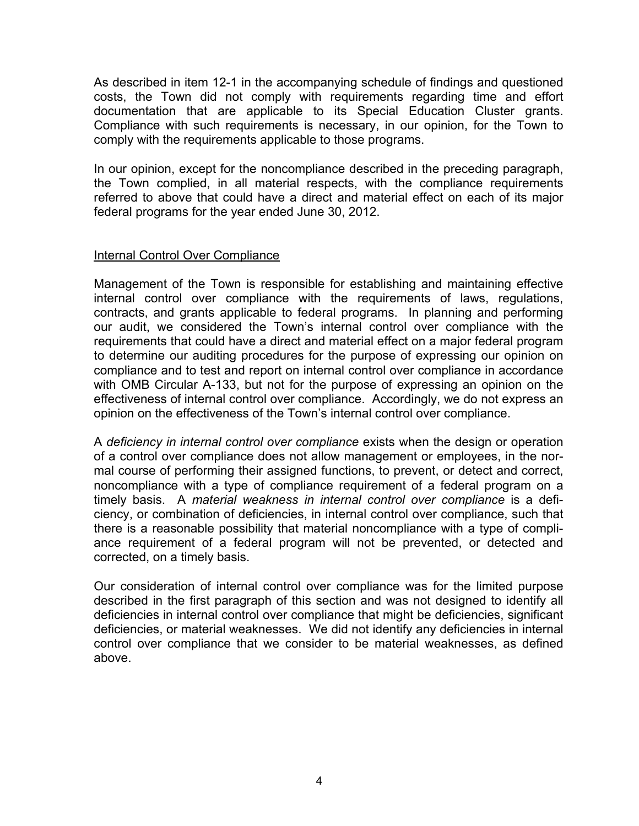As described in item 12-1 in the accompanying schedule of findings and questioned costs, the Town did not comply with requirements regarding time and effort documentation that are applicable to its Special Education Cluster grants. Compliance with such requirements is necessary, in our opinion, for the Town to comply with the requirements applicable to those programs.

In our opinion, except for the noncompliance described in the preceding paragraph, the Town complied, in all material respects, with the compliance requirements referred to above that could have a direct and material effect on each of its major federal programs for the year ended June 30, 2012.

## Internal Control Over Compliance

Management of the Town is responsible for establishing and maintaining effective internal control over compliance with the requirements of laws, regulations, contracts, and grants applicable to federal programs. In planning and performing our audit, we considered the Town's internal control over compliance with the requirements that could have a direct and material effect on a major federal program to determine our auditing procedures for the purpose of expressing our opinion on compliance and to test and report on internal control over compliance in accordance with OMB Circular A-133, but not for the purpose of expressing an opinion on the effectiveness of internal control over compliance. Accordingly, we do not express an opinion on the effectiveness of the Town's internal control over compliance.

A *deficiency in internal control over compliance* exists when the design or operation of a control over compliance does not allow management or employees, in the normal course of performing their assigned functions, to prevent, or detect and correct, noncompliance with a type of compliance requirement of a federal program on a timely basis. A *material weakness in internal control over compliance* is a deficiency, or combination of deficiencies, in internal control over compliance, such that there is a reasonable possibility that material noncompliance with a type of compliance requirement of a federal program will not be prevented, or detected and corrected, on a timely basis.

Our consideration of internal control over compliance was for the limited purpose described in the first paragraph of this section and was not designed to identify all deficiencies in internal control over compliance that might be deficiencies, significant deficiencies, or material weaknesses. We did not identify any deficiencies in internal control over compliance that we consider to be material weaknesses, as defined above.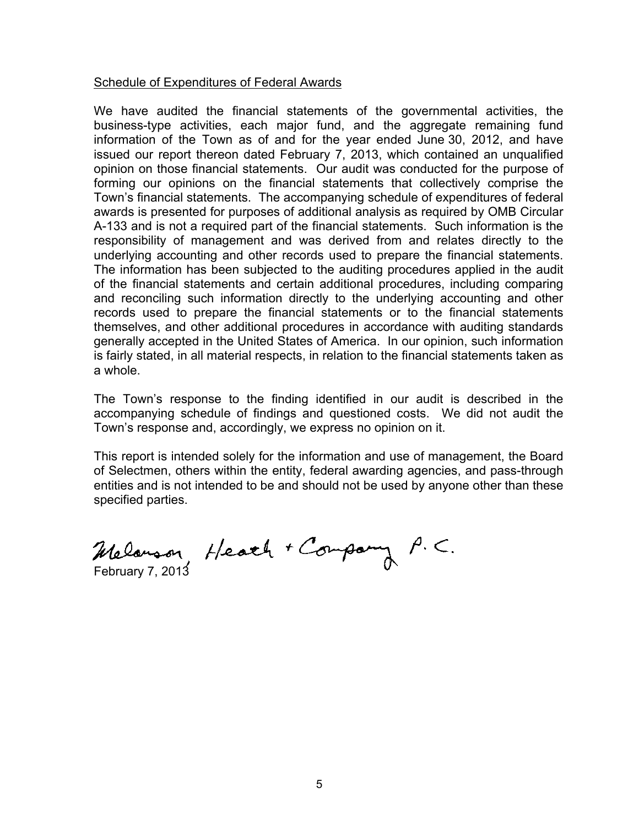#### Schedule of Expenditures of Federal Awards

We have audited the financial statements of the governmental activities, the business-type activities, each major fund, and the aggregate remaining fund information of the Town as of and for the year ended June 30, 2012, and have issued our report thereon dated February 7, 2013, which contained an unqualified opinion on those financial statements. Our audit was conducted for the purpose of forming our opinions on the financial statements that collectively comprise the Town's financial statements. The accompanying schedule of expenditures of federal awards is presented for purposes of additional analysis as required by OMB Circular A-133 and is not a required part of the financial statements. Such information is the responsibility of management and was derived from and relates directly to the underlying accounting and other records used to prepare the financial statements. The information has been subjected to the auditing procedures applied in the audit of the financial statements and certain additional procedures, including comparing and reconciling such information directly to the underlying accounting and other records used to prepare the financial statements or to the financial statements themselves, and other additional procedures in accordance with auditing standards generally accepted in the United States of America. In our opinion, such information is fairly stated, in all material respects, in relation to the financial statements taken as a whole.

The Town's response to the finding identified in our audit is described in the accompanying schedule of findings and questioned costs. We did not audit the Town's response and, accordingly, we express no opinion on it.

This report is intended solely for the information and use of management, the Board of Selectmen, others within the entity, federal awarding agencies, and pass-through entities and is not intended to be and should not be used by anyone other than these specified parties.

Melanson Heath + Company P.C.<br>February 7, 2013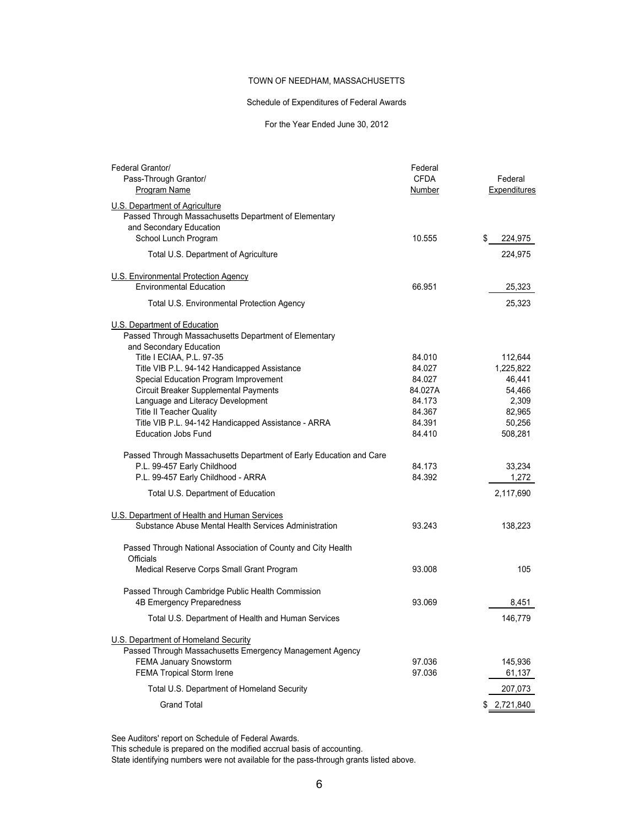#### TOWN OF NEEDHAM, MASSACHUSETTS

#### Schedule of Expenditures of Federal Awards

#### For the Year Ended June 30, 2012

| Federal Grantor/                                                    | Federal     |               |
|---------------------------------------------------------------------|-------------|---------------|
| Pass-Through Grantor/                                               | <b>CFDA</b> | Federal       |
| Program Name                                                        | Number      | Expenditures  |
| U.S. Department of Agriculture                                      |             |               |
| Passed Through Massachusetts Department of Elementary               |             |               |
| and Secondary Education                                             |             |               |
| School Lunch Program                                                | 10.555      | \$<br>224,975 |
|                                                                     |             |               |
| Total U.S. Department of Agriculture                                |             | 224,975       |
| U.S. Environmental Protection Agency                                |             |               |
| <b>Environmental Education</b>                                      | 66.951      | 25,323        |
|                                                                     |             |               |
| Total U.S. Environmental Protection Agency                          |             | 25,323        |
| U.S. Department of Education                                        |             |               |
| Passed Through Massachusetts Department of Elementary               |             |               |
| and Secondary Education                                             |             |               |
| Title I ECIAA, P.L. 97-35                                           | 84.010      | 112,644       |
| Title VIB P.L. 94-142 Handicapped Assistance                        | 84.027      | 1,225,822     |
| Special Education Program Improvement                               | 84.027      | 46,441        |
| Circuit Breaker Supplemental Payments                               | 84.027A     | 54,466        |
| Language and Literacy Development                                   | 84.173      | 2,309         |
| <b>Title II Teacher Quality</b>                                     | 84.367      | 82,965        |
| Title VIB P.L. 94-142 Handicapped Assistance - ARRA                 | 84.391      | 50,256        |
| <b>Education Jobs Fund</b>                                          | 84.410      | 508,281       |
| Passed Through Massachusetts Department of Early Education and Care |             |               |
| P.L. 99-457 Early Childhood                                         | 84.173      | 33,234        |
| P.L. 99-457 Early Childhood - ARRA                                  | 84.392      | 1,272         |
|                                                                     |             |               |
| Total U.S. Department of Education                                  |             | 2,117,690     |
| U.S. Department of Health and Human Services                        |             |               |
| Substance Abuse Mental Health Services Administration               | 93.243      | 138,223       |
| Passed Through National Association of County and City Health       |             |               |
| Officials                                                           |             |               |
| Medical Reserve Corps Small Grant Program                           | 93.008      | 105           |
| Passed Through Cambridge Public Health Commission                   |             |               |
| 4B Emergency Preparedness                                           | 93.069      | 8,451         |
|                                                                     |             |               |
| Total U.S. Department of Health and Human Services                  |             | 146,779       |
| U.S. Department of Homeland Security                                |             |               |
| Passed Through Massachusetts Emergency Management Agency            |             |               |
| FEMA January Snowstorm                                              | 97.036      | 145,936       |
| FEMA Tropical Storm Irene                                           | 97.036      | 61,137        |
| Total U.S. Department of Homeland Security                          |             | 207,073       |
| <b>Grand Total</b>                                                  |             | \$ 2,721,840  |

See Auditors' report on Schedule of Federal Awards.

This schedule is prepared on the modified accrual basis of accounting.

State identifying numbers were not available for the pass-through grants listed above.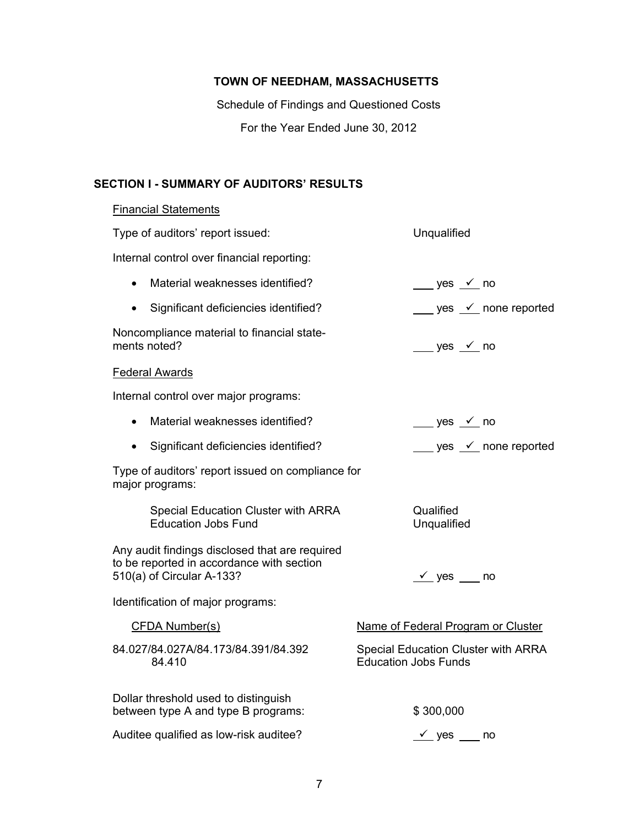## **TOWN OF NEEDHAM, MASSACHUSETTS**

Schedule of Findings and Questioned Costs For the Year Ended June 30, 2012

## **SECTION I - SUMMARY OF AUDITORS' RESULTS**

## **Financial Statements**

| Type of auditors' report issued:                                                                                         | Unqualified                                                               |
|--------------------------------------------------------------------------------------------------------------------------|---------------------------------------------------------------------------|
| Internal control over financial reporting:                                                                               |                                                                           |
| Material weaknesses identified?<br>$\bullet$                                                                             | $\frac{\ }{\ }$ yes $\frac{\checkmark}{\ }$ no                            |
| Significant deficiencies identified?<br>$\bullet$                                                                        | $\frac{\ }{\ }$ yes $\frac{\checkmark}{\ }$ none reported                 |
| Noncompliance material to financial state-<br>ments noted?                                                               | wes $\frac{\checkmark}{\checkmark}$ no                                    |
| <b>Federal Awards</b>                                                                                                    |                                                                           |
| Internal control over major programs:                                                                                    |                                                                           |
| Material weaknesses identified?<br>$\bullet$                                                                             | $\rule{1em}{0.15mm}$ yes $\rule{1em}{0.15mm}$ no                          |
| Significant deficiencies identified?<br>$\bullet$                                                                        | yes $\angle$ none reported                                                |
| Type of auditors' report issued on compliance for<br>major programs:                                                     |                                                                           |
| Special Education Cluster with ARRA<br><b>Education Jobs Fund</b>                                                        | Qualified<br>Unqualified                                                  |
| Any audit findings disclosed that are required<br>to be reported in accordance with section<br>510(a) of Circular A-133? | $\sqrt{ }$ yes no                                                         |
| Identification of major programs:                                                                                        |                                                                           |
| <b>CFDA Number(s)</b>                                                                                                    | Name of Federal Program or Cluster                                        |
| 84.027/84.027A/84.173/84.391/84.392<br>84.410                                                                            | <b>Special Education Cluster with ARRA</b><br><b>Education Jobs Funds</b> |
| Dollar threshold used to distinguish<br>between type A and type B programs:                                              | \$300,000                                                                 |
| Auditee qualified as low-risk auditee?                                                                                   | $\sqrt{\ }$ yes ____ no                                                   |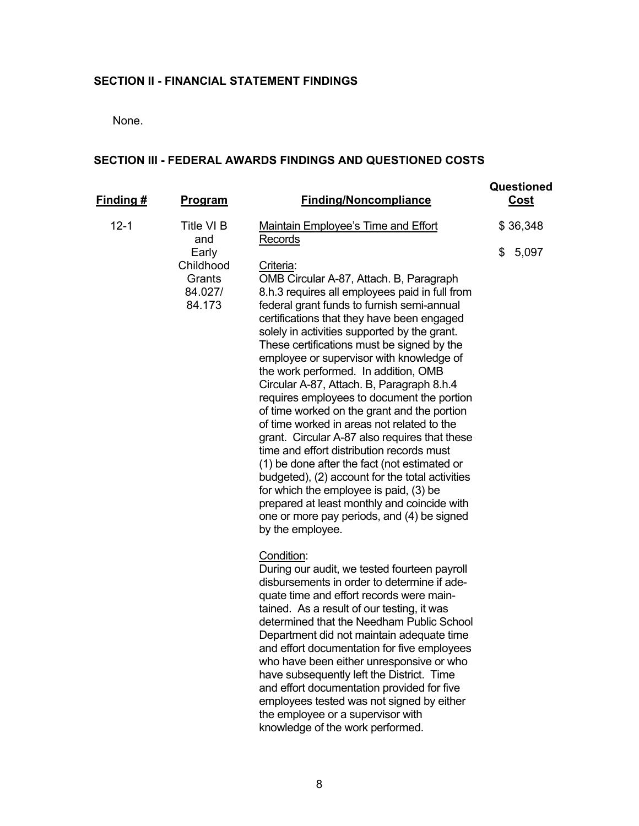#### **SECTION II - FINANCIAL STATEMENT FINDINGS**

None.

## **SECTION III - FEDERAL AWARDS FINDINGS AND QUESTIONED COSTS**

| Finding # | <b>Program</b>                                    | <b>Finding/Noncompliance</b>                                                                                                                                                                                                                                                                                                                                                                                                                                                                                                                                                                                                                                                                                                                                                                                                                                                                                                             | Questioned<br>Cost |
|-----------|---------------------------------------------------|------------------------------------------------------------------------------------------------------------------------------------------------------------------------------------------------------------------------------------------------------------------------------------------------------------------------------------------------------------------------------------------------------------------------------------------------------------------------------------------------------------------------------------------------------------------------------------------------------------------------------------------------------------------------------------------------------------------------------------------------------------------------------------------------------------------------------------------------------------------------------------------------------------------------------------------|--------------------|
| $12 - 1$  | Title VI B<br>and                                 | Maintain Employee's Time and Effort<br>Records                                                                                                                                                                                                                                                                                                                                                                                                                                                                                                                                                                                                                                                                                                                                                                                                                                                                                           | \$36,348           |
|           | Early<br>Childhood<br>Grants<br>84.027/<br>84.173 | Criteria:<br>OMB Circular A-87, Attach. B, Paragraph<br>8.h.3 requires all employees paid in full from<br>federal grant funds to furnish semi-annual<br>certifications that they have been engaged<br>solely in activities supported by the grant.<br>These certifications must be signed by the<br>employee or supervisor with knowledge of<br>the work performed. In addition, OMB<br>Circular A-87, Attach. B, Paragraph 8.h.4<br>requires employees to document the portion<br>of time worked on the grant and the portion<br>of time worked in areas not related to the<br>grant. Circular A-87 also requires that these<br>time and effort distribution records must<br>(1) be done after the fact (not estimated or<br>budgeted), (2) account for the total activities<br>for which the employee is paid, (3) be<br>prepared at least monthly and coincide with<br>one or more pay periods, and (4) be signed<br>by the employee. | 5,097<br>\$        |
|           |                                                   | Condition:<br>During our audit, we tested fourteen payroll<br>disbursements in order to determine if ade-<br>quate time and effort records were main-<br>tained. As a result of our testing, it was<br>determined that the Needham Public School<br>Department did not maintain adequate time<br>and effort documentation for five employees<br>who have been either unresponsive or who<br>have subsequently left the District. Time<br>and effort documentation provided for five<br>employees tested was not signed by either                                                                                                                                                                                                                                                                                                                                                                                                         |                    |

the employee or a supervisor with knowledge of the work performed.